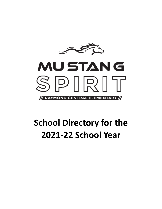



# **School Directory for the 2021-22 School Year**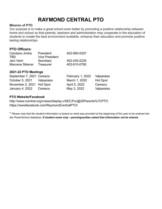# **RAYMOND CENTRAL PTO**

### **Mission of PTO**

Our purpose is to make a great school even better by promoting a positive relationship between home and school so that parents, teachers and administration may cooperate in the education of students to create the best environment available, enhance their education and promote positive lasting relationships.

# **PTO Officers:**

| Candace Jindra  | President             | 402-560-5327 |
|-----------------|-----------------------|--------------|
| TRD.            | <b>Vice President</b> |              |
| Jeni Vech       | Secretary             | 402-430-2235 |
| Marcene Sklenar | Treasurer             | 402-610-0780 |

### **2021-22 PTO Meetings**

| September 7, 2021 Ceresco |            | February 1, 2022 | Valparaiso      |
|---------------------------|------------|------------------|-----------------|
| October 5, 2021           | Valparaiso | March 1, 2022    | <b>Hot Spot</b> |
| November 2, 2021 Hot Spot |            | April 5, 2022    | Ceresco         |
| January 4, 2022           | Ceresco    | May 3, 2022      | Valparaiso      |

## **PTO Website/Facebook**

http://www.rcentral.org/vnews/display.v/SEC/For@20Parents%7CPTO <https://wwwfacebook.com/RaymondCentralPTO/>

\* Please note that the student information is based on what was provided at the beginning of the year to be entered into *the PowerSchool database. If student name only - parent/guardian asked that information not be shared.*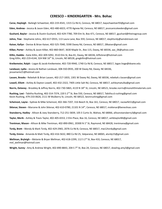#### **CERESCO – KINDERGARTEN - Mrs. Bohac**

**Carse, Hayleigh** - Baileigh Schweitzer, 402-219-4541, 1315 Co Rd A, Ceresco, NE 68017, bayschweitzer93@gmail.com **Eden, Andrew -** Jessica & Jason Eden, 402-480-6023, 4770 Agnew Rd, Ceresco, NE 68017, [jessicanicoleeden@gmail.com](mailto:jessicanicoleeden@gmail.com) **Gushard, Baylor -** Jessica & Dustin Gushard, 402-429-7780, 709 Elm St, Box 471, Ceresco, NE 68017, [jgushard@theinagroup.com](mailto:jgushard@theinagroup.com) **Johns, Trae** - Stephanie Johns, 402-617-0555, 113 Laura Lane, Box 359, Ceresco, NE 68017, stephtvrdy@windstream.net **Kaiser, Kallyn** - Denise & Brian Kaiser, 402-525-7040, 5590 Davey Rd, Ceresco, NE 68017, 28kaiser@gmail.com **Kilker, Porter -** Ashley & Jason Kilker, 402-860-0647, 3630 Maple St., Box 115, Davey, NE 68336, [aac\\_06@yahoo.com](mailto:aac_06@yahoo.com) **Killin, Haddie -** Katie Killin, 402-309-5092, 3510 Elm St, Box 81, Davey, NE 68336, ktflickner@hotmail.com Greg Killin, 402-219-4144, 324 NW 16<sup>th</sup> St, Lincoln, NE 68528, [gregkillin@hotmail.com](mailto:gregkillin@hotmail.com) **Kreikemeier, Ralph -** Logan & Jacob Kreikemeier, 402-720-9940, 1740 Co Rd B, Ceresco, NE 68017, logan.hoge@doane.edu **Landauer, Lydia -** Jessica & Nathan Landauer, 308-550-0935, 200 W Davey Rd, Davey, NE 68336, jessamarie21@hotmail.com **Lassen, Brooks -** Rebekah & Brian Lassen, 402-217-1833, 1301 W Davey Rd, Davey, NE 68336, rebekah.r.lassen@gmail.com **Lowell, Elliott -** Ashley & Dayton Lowell, 402-432-2322, 7405 Little Salt Rd, Ceresco, NE 68017, ashleymatulka@gmail.com Norris, Delaney - Brookley & Jeffrey Norris, 402-730-5865, 4119 N 18<sup>th</sup> St, Lincoln, NE 68521, brooke.norris@monolithmaterials.com Rushing, Lexi - Tabitha Rushing, 402-314-7374, 220 S 2<sup>nd</sup> St, Box 550, Ceresco, NE 68017, Tabitha.d.rushing@gmail.com Kevin Rushing, 479-233-0626, 2111 W Mulberry St, Lincoln, NE 68522, kevinrushing@gmail.com **Scheinost, Layne -** Sydnee & Mike Scheinost, 402-366-7207, 316 Beech St, Box 161, Ceresco, NE 68017, racewife51@gmail.com **Sklenar, Steven -** Marcene & John Sklenar, 402-610-0780, 21101 N 14 th , Ceresco, NE 68017, msklenar@beneshvac.com **Stansberry, Hadley** - Allison & Joey Stansberry, 712-251-5839, 105 E Curtis St, Wahoo, NE 68066, [allisonstansberry3@gmail.com](mailto:allisonstansberry3@gmail.com) **Taylor, Merik -** Ashley & Travis Taylor, 402-405-6553, 2 Elm Place, Box 16, Ceresco, NE 68017, ashbtaylor84@gmail.com **Trentman, Mason -** Allison & Mike Trentman, 402-890-0961, 20300 N 1 st St, Raymond, NE 68428, trentmana@gmail.com **Tvrdy, Brett -** Wendy & Mark Tvrdy, 402-429-2965, 2076 Co Rd B, Ceresco, NE 68017, mw12tvrdy@gmail.com **Tvrdy, Emma** - Amanda & Matt Tvrdy, 402-416-5632, 880 Co Rd 25, Valparaiso, NE 68065, [atvrdy15@gmail.com](mailto:atvrdy15@gmail.com) Wellman, Bryleigh - Melanie & Bryan Wellman, 402-618-2299, 112 S 2<sup>nd</sup> St, Box 433, Ceresco, NE 68017, [mel\\_wellman@hotmail.com](mailto:mel_wellman@hotmail.com) **Wright, Sunny -** Amy & Andrew Wright, 402-890-8843, 204 S 7 th St, Box 24, Ceresco, NE 68017, [dowling.amy3@gmail.com](mailto:dowling.amy3@gmail.com)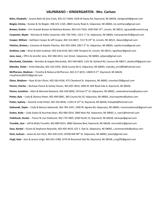#### **VALPARAISO – KINDERGARTEN - Mrs. Carlson**

**Behn, Elizabeth** – Jeramy Behn & Gina Clark, 402-217-5044, 4328 W Davey Rd, Raymond, NE 68428, clarkgina04@gmail.com **Biegler, Emma** – Dustan & Toi Biegler, 308-325-1169, 2880 County Road A, Valparaiso, NE 68065, toi.sonthana@gmail.com Brewer, Grahm – Erin Gravatt Brewer & Matthew Brewer, 402-414-7620, 5650 NW 14<sup>th</sup>, Lincoln, NE 68521, egravatt@rcentral.org Carpenter, Wyatt – Nicholas & Hallie Carpenter, 402-730-7491, 210 E 1<sup>st</sup> St, Valparaiso, NE 68065, halcarpenter93@gmail.com **Cooper, William** – Kathleen Cooper & Jeff Cooper, 402-314-0827, 7217 N 19 th St, Lincoln, NE 68521, kkean2@gmail.com **Fletcher, Brixton –** Cameron & Natalie Fletcher, 402-459-1094, 206 E 3<sup>rd</sup> St, Valparaiso, NE 68065, natalie.treat@gmail.com **Gralheer, Luke** – Brian & Kate Gralheer, 402-618-6139, 6811 NW Tempest Dr, Lincoln, NE 68521, kgralheer@gmail.com **Jano, Isaac** – Effrin & Jennifer Jano, 402-580-4413, Iver Street, Valparaiso, NE 68065, ej3jano@gmail.com **Marshalek, Charlotte** – Brendon & Angela Marshalek, 402-540-6824, 1101 W. Ashland Rd, Ceresco NE 68017, deollos39@gmail.com **Matulka, Violet** – Emily Matulka, 402-310-2454, 2628 County Rd A, Valparaiso, NE 68065, matulka\_em1885@hotmail.com McPherson, Madison - Timothy & Rebecca McPherson, 402-217-6015, 14845 N 2<sup>nd</sup>, Raymond, NE 68428, rmcpherson82413@gmail.com **Olson, Madison** – Ryan & Kari Olson, 402-560-4536, 475 Cleveland St, Valparaiso, NE 68065, olsonkari29@gmail.com **Parent, Charles** – Nicholas Parent & Ashely Hixson, 402-601-3819, 5400 W. Mill Road Side A, Raymond, NE 68428 **Pesina, Jonathan** – Allan & Marisela Rowland, 402-429-0069, 229 East 5<sup>th</sup> St, Valparaiso, NE 68065, rowlandmarisela@yahoo.com **Potter, Ryla** – Cody & Shanna Potter, 402-499-0891, 383 County Rd 29, Valparaiso, NE 68065, shannapotter@yahoo.com **Potter, Sydney** – David & Linda Potter, 402-202-8936, 11201 N 14 th St, Raymond, NE 68428, lindap66@hotmail.com **Siebrandt, Taylor** – Cody & Monica Siebrandt, 402-783-2347, 2300 W. Agnew Rd, Valparaiso, NE 68065, monicasiebrandt@gmail.com **Svatos, Kody** – Cody Svatos & Kourtney Ryan, 402-480-2019, 2860 Main Rd, Valparaiso, NE 68065, k\_ryan1@hotmail.com **Trebilcock, Hunter** – Trevor & Lisa Trebilcock, 402-770-7805, 4200 Pacific St, Raymond, NE 68428, latraupe@gmail.com **Trumble, Jase** – Jeff & Molly Trumble, 402-890-0553, 3880 Oakview Blvd, Raymond, NE 68428, mtrumble1@gmail.com

**Vasa, Kyndal** – Dustin & Stephanie Reynolds, 402-405-4433, 421 S. Oak St, Valparaiso, NE 68065, s.lariereynolds@yahoo.com

**Vech, Jackson** – James & Jeni Vech, 402-430-2235, 20700 NW 98<sup>th</sup> St, Valparaiso, NE 68065, jlvech@gmail.com

**Virgil, Kael** – Kurt & Jessica Virgil, 402-641-4788, 3276 W Branched Oak Rd, Raymond, NE 68428, j.virgil95@gmail.com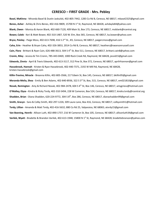#### **CERESCO – FIRST GRADE - Mrs. Pebley**

**Basel, MaKinna** - Miranda Basel & Dustin Jaskulski, 402-805-7442, 1283 Co Rd B, Ceresco, NE 68017, mbasel2325@gmail.com **Benes, Asher** - Ashley & Chris Benes, 402-416-9809, 15700 N 1 st St, Raymond, NE 68428, ashdayle84@yahoo.com **Blank, Owen** - Monica & Aaron Blank, 402-660-7120, 409 Main St, Box 173, Ceresco, NE 68017, moblank@rcentral.org **Bower, Caleb** - Keri & Matt Bower, 402-310-1487, 520 W. Elm, Box 365, Ceresco, NE 68017, ka.bower@yahoo.com Bryce, Paisley - Paige Moss, 402-613-7698, 416 S 2<sup>nd</sup> St., #3, Ceresco, NE 68017, paigercmoss@gmail.com **Caha, Erin** - Heather & Bryan Caha, 402-326-3853, 2014 Co Rd B, Ceresco, NE 68017, [heatherc@swansonrussell.com](mailto:heatherc@swansonrussell.com) Cain, Flora - Brittani & Ryan Cain, 626-488-3613, 504 S 4<sup>th</sup> St, Box 511, Ceresco, NE 68017, brittani.cain8@yahoo.com **Cronin, Riley** - Jessica & Tim Cronin, 785-443-0469, 1000 Rock Creek Rd, Raymond, NE 68428, jessid15@gmail.com **Edwards, Zinnia** - April & Travis Edwards, 402-613-3117, 312 Pine St, Box 372, Ceresco, NE 68017, aprilrhiannon@gmail.com **Hassebrook, Hannah** - Kristen & Ryan Hassebrook, 402-440-7371, 2192 W Mill Rd, Raymond, NE 68428, kristen.hassebrook@gmail.com

**Killin-Trevino, Miracle** - Breanna Killin, 402-805-3566, 217 Edwin St, Box 145, Ceresco, NE 68017, bkillin95@gmail.com **Meranda-Melia, Shea** - Emily & Ben Adams, 402-840-8936, 322 S 3 rd St, Box, 515, Ceresco, NE 68017, em021810@gmail.com **Novak, Remington** - Amy & Richard Novak, 402-984-2478, 604 S 4<sup>th</sup> St, Box 146, Ceresco, NE 68017, amygriess@hotmail.com **O'Malley, Elyza -** Kindra & Ricky Tvrdy, 402-310-5494, 228 W Cameron, Box 524, Ceresco, NE 68017, k[indra.tvrdy@rcentral.org](mailto:indra.tvrdy@rcentral.org) **Shadden, Brian -** Diana Shadden, 620-224-9772, 304 S 8<sup>th</sup>, Box 286, Ceresco, NE 68017, dianashadden99@gmail.com **Smith, Gracyn** - Sara & Colby Smith, 402-297-1226; 309 Laura Lane, Box 416, Ceresco, NE 68017; colbysmith1@hotmail.com **Tvrdy, Lillian** - Amanda & Matt Tvrdy, 402-416-5632; 880 Co Rd 25, Valparaiso, NE 68065; atvrdy15@gmail.com **Van Boening, Henrik -** Allison Luth, 402-890-1737; 216 W Cameron St, Box 105, Ceresco, NE 68017; allisonluth34@gmail.com **Varilek, Wyatt** - Bradette & Brandon Varilek, 402-613-1948; 15800 N 1<sup>st</sup> St, Raymond, NE 68428; [bradettebranson@yahoo.com](mailto:bradettebranson@yahoo.com)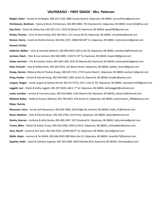#### **VALPARAISO – FIRST GRADE - Mrs. Peterson**

**Biegler, Owen** – Dustan & Toi Biegler, 308-325-1169, 2880 County Road A, Valparaiso, NE 68065, toi.sonthana@gmail.com **Christensen, Beckham** – Donny & Brynn Christensen, 402-890-4983, 735 Cleveland Cir, Valparaiso, NE 68065, brynn126@live.com **Day, Keira** – Dustin & Ashley Day, 402-432-1117, 2525 W Masek Dr, Raymond, NE 68428, ajewell83@gmail.com **Dickey, Thomas** – Chris & Dorie Dickey, 402-784-3812, 311 County Rd 29, Valparaiso, NE 68065, chrisdickey@email.com **Donner, Henry** – Austin & Martha Donner, 402-841-2707, 19600 NW 84<sup>th</sup> St, Valparaiso, NE 68065, mylnndonner@gmail.com **Hazard, Presley**

**Hellerich, Walker** – Chris & Amanda Hellerich, 402-890-5870, 630 Co Rd 28, Valparaiso, NE 68065, achellerich@hotmail.com **Jamison, Noah** – Tyler & Lisa Jamison, 402-560-2809, 11022 N 14<sup>th</sup> St, Raymond, NE 68428, lisajam28@gmail.com **Jindra, Harrison** – Tim & Candace Jindra, 402-560-1300, 2525 W Waverly Rd, Raymond, NE 68428, candacejindra@gmail.com **Kalin, Emmett** – Joey & Debbie Kalin, 402-560-3652, 531 Blaine Street, Valparaiso, NE 68065, debbie\_buresh@gmail.com **Knapp, Konnor** –Rebecca Ries & Thomas Knapp, 308-520-7135, 2774 County Road C, Valparaiso, NE 68065, beckijo11@gmail.com **Kring, Huxlee** – Carson & Hannah Kring, 402-540-0467, 2001 James Dr, Raymond, NE 68428, hsnyder@yahoo.com **Languis, Teagan** – Jacob Languis & Sydney Herrell, 402-217-9713, 535 S. Oak St. #3, Valparaiso, NE 68065, sydneyherrell2@gmail.com **Leggett, Levi** – Skyler & Kathy Leggett, 402-297-5828, 440 E. 7<sup>th</sup> St, Valparaiso, NE 68065, Kathyleggett@outlook.com **Lewis, Caroline** – Jeremy & Courtney Lewis, 402-416-6856, 2120 Waverly Rd, Raymond, NE 68428, cslewis13@hotmail.com **Mailand, Bailey** – Toddy & Autumn Mailand, 402-783-0222, 424 Jensen St, Valparaiso, NE 68065, autumnleann\_2006@yahoo.com **Mayo, Tommy**

**Mussman, Caius** – Jon & Leah Mussmann, 402-650-7008, 2010 Ridge Rd, Garland, NE 68360, leahb\_01@hotmail.com **Rezac, Madison** – Tyler & Desiree Rezac, 402-429-2784, 216 N Pine, Valparaiso, NE 68065, dezezs@hotmail.com **Stenka, Kamryn** – Anthony & Kelly Stenka, 402-489-3387, 325 Cleveland St, Valparaiso, NE 68065, Kelly.stenka@gmail.com **Trutna, Miles** – Robert & Ashley Trutna, 402-443-2050, 2950 Co Rd A, Valparaiso, NE 68065, ashleydidier@yahoo.com **Vech, Norah** – James & Jeni Vech, 402-430-2235, 20700 NW 9<sup>th</sup> St, Valparaiso, NE 68065, jlvech@gmail.com **Wolfe, Alyxis** – Jamison & Tes Wolfe, 402-646-0359, 880 Mary Ann St, Valparaiso, NE 68065, tmwolfe27@hotmail.com **Zugmier, Ande** – Jason & Cathleen Zugmier, 402-783-2589, 3650 Oakview Blvd, Raymond, NE 68428, n4mickey@aol.com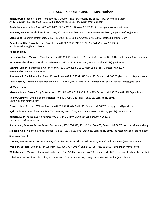### **CERESCO – SECOND GRADE – Mrs. Hudson**

**Benes, Bryson -** Jennifer Benes, 402-450-3135, 10200 N 162 nd St, Waverly, NE 68462, jen0354@hotmail.com Andy Heavican, 402-416-9515, 2260 22 Rd, Dwight, NE 68635, aheavican@hotmail.com

Brady, Kamryn - Lindsey Cave, 402-480-0039, 622 N 31<sup>st</sup> St., Lincoln, NE 68503, lindstaevynbrooke@gmail.com

**Burchess, Kaylee -** Angela & David Burchess, 402-217-8546, 208 Laura Lane, Ceresco, NE 68017, angeladavefritz@me.com

**Cerny, Zane -** Jennifer Hoffschneider, 402-710-2009, 1313 Co Rd A, Ceresco, NE 68017, hoffa1876@gmail.com

**Dukesherer, Lily -** Nicole & James Dukesherer, 402-802-0290, 713 S 3 rd St, Box 341, Ceresco, NE 68017, nicoledukesherer@hotmail.com

**Habener, Emily**

Hartshorn, June - Melissa & Mike Hartshorn, 402-450-4115, 604 S 2<sup>nd</sup> St, Box 254, Ceresco, NE 68017, melissarada89@gmail.com

**Huck, Hannah -** Jill & Errol Huck, 402-730-0593, 15901 N 1 st St, Raymond, NE 68428, jillhuck09@gmail.com

**Kenning, Cainan -** Samantha & Adison Kenning, 620-960-3093, 213 W Main St, Box 185, Ceresco, NE 68017, adisonandsamantha@gmail.com

**Konovalchuk, Daniella -** Yelina & Alex Konovalchuk, 402-217-2581, 549 Co Rd 17, Ceresco, NE 68017, ykonovalchuk@yahoo.com

**Love, Anthony -** Kristine & Tom Donahue, 402-718-1444, 910 Raymond Rd, Raymond, NE 68428, [kdonahue05@gmail.com](mailto:kdonahue05@gmail.com)

#### **McMann, Ruby**

**Meranda-Melia, Dean** - Emily & Ben Adams, 402-840-8936, 322 S 3<sup>rd</sup> St, Box 515, Ceresco, NE 68017, em021810@gmail.com

**Nelson, Cambrie -** Lynne & Spencer Nelson, 402-432-9099, 228 Ash St, Box 315, Ceresco, NE 68017, lynne.nelson@hotmail.com

**Powers, Liam -** Crystal & William Powers, 402-525-7794, 414 Co Rd 15, Ceresco, NE 68017, darbysprings@gmail.com

Pytlik, Addison - Tami & Kurt Pytlik, 402-277-6418, 216 S 1<sup>st</sup> St, Box 123, Ceresco, NE 68017, tpytlik@zitomedia.net

**Roberts, Kyler -** Karisa & Jared Roberts, 402-649-1414, 4140 Muhlbach Lane, Davey, NE 68336, karisaroberts@hotmail.com

**Rockemann, Benson -** Andrea & Josh Rockemann, 402-202-8915, 721 S 3 rd St, Box 405, Ceresco, NE 68017, arockem@rcentral.org

**Simpson, Cole -** Amanda & Kent Simpson, 402-617-1896, 6160 Rock Creek Rd, Ceresco, NE 68017, asimpson@nebraskaortho.com

**Starkweather, Lilly**

**Thomas, Easton -** Brenda & Tye Thomas, 402-619-6424, 2082 Ashland Rd, Ceresco, NE 68017, brendalee6@windstream.net

**Wellman, Beckett -** Coleen & Tim Wellman, 402-326-3767, 208 7 th St, Box 83, Ceresco, NE 68017, twellmn14@gmail.com

**Wills, Laramie -** Melissa & Brady Wills, 402-358-0707, 225 Cameron St, Box 236. Ceresco, NE 68017, melissa.ritter@huskers.unl.edu

**Zobel, Eden -** Krista & Nicolas Zobel, 402-440-5587, 2211 Raymond Rd, Davey, NE 68336, kristazobel@gmail.com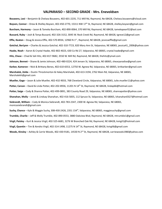#### **VALPARAISO – SECOND GRADE - Mrs. Enevoldsen**

**Bouwens, Lexi** – Benjamin & Chelsea Bouwens, 402-601-2235, 711 Mill Rd, Raymond, Ne 68428, Chelsea.bouwens@icloud.com Boysen, Connor – Drew & Shelley Boysen, 402-450-2770, 15311 NW 17<sup>th</sup> St, Raymond, NE 68428, shelley.boysen@gmail.com **Burcham, Harmony** – Jason & Tameka Burcham, 402-890-0064, 370 Mill Rd, Raymond, NE 68428, tamekapearl52@aol.com **Bussard, Ruby** – Josh & Tonya Bussard, 402-326-3152, 3045 W. Rock Creek Rd, Raymond, NE 68428, tgreve12@gmail.com **Effle, Keaton** – Doug & Jessica Effle, 402-570-8934, 12960 N 1 st , Raymond, NE 68428, jessicaeffle@gmail.com **Gotchal, BerLynn** – Charles & Jessica Gotchal, 402-310-7723, 820 Mary Ann St, Valparaiso, NE 68065, jessica41\_2006@yahoo.com **Haake, Noah** – Aaron & Crystal Haake, 402-802-4023, 630 Co Rd 27, Valparaiso, NE 68065, crystal.haake@gmail.com **Hitz, Chase** – Chad & Vali Hitz, 402-817-9682, 3550 W. Mill Rd, Raymond, NE 68428, thehitz@ymail.com **Johnson, Bennet** – Shane & Jamie Johnson, 402-480-0224, 424 Jensen St, Valparaiso, NE 68065, shearparadise@gmail.com **Karber, Kameron** – Nick & Brittany Benes, 402-610-6553, 12750 W. Agnew Rd, Valparaiso, NE 68065, britkarber@gmail.com **Marshalek, Zelda** – Dustin Throckmorton & Haley Marshalek, 402-613-3194, 2762 Main Rd, Valparaiso, NE 68065, Marshalekh@gmail.com **Mueller, Gage** – Jason & Julie Mueller, 402-432-9033, 768 Cleveland Circle, Valparaiso, NE 68065, Julie.mueller11@yahoo.com **Potter, Carson** – David & Linda Potter, 402-202-8936, 11201 N 14 th St, Raymond, NE 68428, lindap66@hotmail.com **Potter, Saige** – Cody & Shanna Potter, 402-499-0891, 383 County Road 29, Valparaiso, NE 68065, shannapotter@yahoo.com **Shanahan, Molly** – Jared & Lindsay Shanahan, 402-416-5835, 112 Spruce St, Valparaiso, NE 68065, lshanahan0327@hotmail.com **Siebrandt, William** – Cody & Monica Siebrandt, 402-783-2347, 2300 W. Agnew Rd, Valparaiso, NE 68065, monicasiebrandt@gmail.com **Suchy, Chance** – Kyle & Maggie Suchy, 308-430-2426, 2351 154<sup>th</sup>, Valparaiso, NE 68065, maggiesuchy@gmail.com **Trumble, Charlie** – Jeff & Molly Trumble, 402-890-0553, 3880 Oakview Blvd, Raymond, NE 68428, mtrumble1@gmail.com **Virgil, Paisley** – Kurt & Jessica Virgil, 402-525-6681, 3276 W Branched Oak Rd, Raymond, NE 68428, kvirgil1@hotmail.com **Virgil, Quentin** – Tim & Kendra Virgil, 402-314-1498, 11275 N 14<sup>th</sup> St, Raymond, NE 68428, kvirgil6@gmail.com

**Woods, Kinsley** – Ashley & Carrie Woods, 402-430-9181, 14530 N 2 nd St, Raymond, NE 68428, carriewoods1980@yahoo.com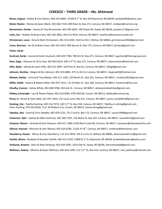#### **CERESCO – THIRD GRADE – Ms. Ahlstrand**

Benes, August - Ashley & Chris Benes, 402-416-9809, 15700 N 1<sup>st</sup> St, Box 354 Raymond, NE 68428, [ashdayle84@yahoo.com](mailto:ashdayle84@yahoo.com) **Blank, Peyton -** Monica & Aaron Blank, 402-660-7120, 409 Main St, Box 173, Ceresco, NE 68017, moblank@rcentral.org **Bornemeier, Hunter -** Jessica & Troy Bornemeier, 402-405-6625, 100 Davey Rd, Davey, NE 68336, jessborn17@gmail.com **Caha, Joe -** Heather & Bryan Caha, 402-326-3853, 2014 Co Rd B, Ceresco, NE 68017, [heatherc@swansonrussell.com](mailto:heatherc@swansonrussell.com) **Christensen, Lucas -** Gina & Matt Christensen, 402-314-2438, 1432 Co Rd C, Wahoo, NE 68066, gchristensen2006@gmail.com **Crees, Brennen -** Jen & Andrew Crees, 402-314-1037, 804 Spruce St, Box 175, Ceresco, NE 68017, jkcrees@gmail.com **Fisher, Sarah**

**Gushrad, Burke -** Jessica & Dustin Gushard, 402-429-7780, 709 Elm St, Box 471, Ceresco, NE 68017, [jgushard@theinagroup.com](mailto:jgushard@theinagroup.com) **Haar, Gage -** Shannon & Chris Haar, 402-802-6615, 605 S 4 th St, Box 271, Ceresco, NE 68017, shannonhaar@hotmail.com **Hille, Ryker -** Glenda & Justin Hille, 402-521-4097, 524 Pine St, Box 65, Ceresco, NE 68017, hillegl@gmail.com **Johnson, Bentley -** Megan & Ken Johnson, 402-310-6885, 473 Co Rd 14, Ceresco, NE 68017, megrose82@hotmail.com **Mattox, Deklan -** Chrissy & Troy Mattox, 402-217-1302, 220 Beech St., Box 241, Ceresco, NE 68017, cmattox1001@gmail.com **Miller, Addie -** Dawna & Robert Miller, 402-937-3251, 121 W Main St., Box 166, Ceresco, NE 68017, kmamom@live.com **Olsufka, Cannon -** Kelsey White, 402-480-9786, 204 Ash St., Ceresco, NE 68017, xkelseynicolewhitex@gmail.com **Pebley, Cartwright -** Laci & Shawn Pebley, 402-314-4584, 4701 Mill Rd, Lincoln, NE 68514, lpebley@rcentral.org **Perez, JJ -** Nicole & Talon Mak, 612-297-1853, 212 Laura Lane, Box 621, Ceresco, NE 68017, perez.nicole0813@gmail.com Rushing, Lita - Tabitha Rushing, 402-314-7374, 220 S 2<sup>nd</sup> St, Box 550, Ceresco, NE 68017, Tabitha.d.rushing@gmail.com Kevin Rushing, 479-233-0626, 2111 W Mulberry St, Lincoln, NE 68522, kevinrushing@gmail.com **Sabatka, Ada -** Sarah & Chris Sabatka, 402-429-2231, 751 S 3rd St, Box 172, Ceresco, NE 68017, sasser1998@gmail.com **Scheinost, Tyler -** Sydnee & Mike Scheinost, 402-366-7207, 316 Beech St, Box 161, Ceresco, NE 68017, racewife51@gmail.com **Simpson, Mason -** Amanda & Kent Simpson, 402-617-1896, 6160 Rock Creek Rd, Ceresco, NE 68017, asimpson@nebraskaortho.com **Sklenar, Hannah -** Marcene & John Sklenar, 402-610-0780, 21101 N 14 th , Ceresco, NE 68017, msklenar@beneshvac.com **Stansberry, Harper -** Allison & Joey Stansberry, 712-251-5839, 105 E Curtis St, Wahoo, NE 68066, allisonstansberry3@gmail.com **Varilek, Blaine -** Bradette & Brandon Varilek, 402-613-1918, 15800 N 1<sup>st</sup> St, Raymond, NE 68428, [bradettebrandon@yahoo.com](mailto:bradettebrandon@yahoo.com) **Verkamp, Braxton -** Sheri & Nate Verkamp, 402-450-5091, 3510 Oak St, Davey, NE 68336, sheriverkamp8@gmail.com Wellman, Aubrey - Melanie & Bryan Wellman, 402-618-2299, 112 S 2<sup>nd</sup> St, Box 433, Ceresco, NE 68017, mel\_wellman@hotmail.com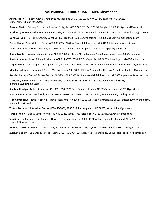#### **VALPARAISO – THIRD GRADE - Mrs. Niewohner**

Agena, Aiden - Timothy Agena & Katherine Krueger, 531-289-0465, 12300 NW 12<sup>th</sup> St, Raymond, NE 68428, [crimsonking\\_9898@yahoo.com](mailto:crimsonking_9898@yahoo.com)

**Benson, Gavin** – Brittany Getzfred & Brandon Pettyjohn, 470-527-9295, 2497 25 Rd, Dwight, NE 68635, rigetzfred@comcast.net **Bordovsky, Max** – Brandon & Brianna Bordovsky, 402-340-9733, 2774 County Rd C, Valparaiso, NE 68065, bribordovsky@aol.com **Donahue, Cain** – Patrick & Chastity Donahue, 402-416-0656, 220 E 5<sup>th</sup>, Valparaiso, NE 68065, ckadavy2803@hotmail.com **Feese, Hiram** – Scott & Kristin Feese, 402-890-2704, 2761 W. Davey Rd, Raymond, NE 68428, Kristin.feese@gmail.com **Jano, Owen** – Effrin & Jennifer Jano, 402-580-4413, 419 Iver Street, Valparaiso, NE 68065, ej3jano@gmail.com Kliment, Jada – Jason & Jeannie Kliment, 402-217-4790, 733 E 2<sup>nd</sup> St, Valparaiso, NE 68065, Jeannie\_ayers2000@yahoo.com Kliment, Jemma - Jason & Jeannie Kliment, 402-217-4790, 733 E 2<sup>nd</sup> St, Valparaiso, NE 68065, Jeannie\_ayers2000@yahoo.com **Korger, Everly** – Nate Korger & Meagan Brandt, 402-540-7998, 3800 W. Mill Rd, Raymond, NE 68428, brandt\_meagan@yahoo.com **Marshalek, Emma** – Brendon & Angela Marshalek, 402-540-6824, 1101 W. Ashland Rd, Ceresco, NE 68017, deollos39@gmail.com **Regnier, Kinsey** – Tyson & Amber Regnier, 402-314-2403, 3343 W. Branched Oak Rd, Raymond, NE 68428, yoamber@hotmail.com **Schneider, Raine** – Stephanie & Cody Marshalek, 402-570-8535, 1538 W. Little Salt Rd, Raymond, NE 68428, marshalek1992@gmail.com **Shelton, Rosalyn** –Amber Schmersal, 402-853-1010, 3320 Saint Paul Ave, Lincoln, NE 68504, ajschmersal1992@gmail.com **Stenka, Evelyn** – Anthony & Kelly Stenka, 402-440-7302, 325 Cleveland St, Valparaiso, NE 68065, Kelly.stenka@gmail.com **Tilson, Brookelyn** – Taylor Nissen & Rexann Tilson, 402-440-2963, 400 W. A Street, Valparaiso, NE 68065, tnissen2007@yahoo.com, rexanntilson@gmail.com

**Trutna, Porter** – Rob & Ashley Trutna, 402-443-2050, 2950 Co Rd. A, Valparaiso, NE 68065, ashleydidier@yahoo.com

**Twohig, Kelby** – Ryan & Dawn Twohig, 402-440-3245, 650 S. Pine, Valparaiso, NE 68065, dawn.twohig@gmail.com

**Von Seggern, Bentley** – Tyler Masek & Devin Hergenrader, 402-350-8030, 1121 W. Rock Creek Rd, Raymond, NE 68522, tymasek@hotmail.com

Woods, Dawson - Ashley & Carrie Woods, 402-430-9181, 14530 N 2<sup>nd</sup> St, Raymond, NE 68428, carriewoods1980@yahoo.com

**Zurcher, Beckett** – Cameron & Natalie Fletcher, 402-459-1094, 206 East 3<sup>rd</sup> St, Valparaiso, NE 68065, sara\_bobo\_3@hotmail.com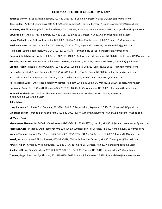#### **CERESCO – FOURTH GRADE – Ms. Farr**

**Badberg, Colton -** Kristi & Justin Badberg, 402-430-1660, 1771 Co Rd B, Ceresco, NE 68017, kbadberg@gmail.com **Bass, Caden -** Amber & Shane Bass, 402-443-7790, 208 Cameron St, Box 35, Ceresco, NE 68017, Amberbss09@gmail.com **Burchess, Maddison -** Angela & David Burchess, 402-217-8546, 208 Laura Lane, Ceresco, NE 68017, angeladavefritz@me.com **Edwards, Bair -** April & Travis Edwards, 402-613-3117, 312 Pine St, Ceresco, NE 68017, aprilrhiannon@gmail.com Evans, Michael - Sam & Bruce Evans, 402-871-8999, 204 S 2<sup>nd</sup> St, Box 396, Ceresco, NE 68017, samr\_09@hotmail.com **Field, Coleman -** Laura & Tom Field, 970-214-1401, 20500 N 1<sup>st</sup> St, Raymond, NE 68428, lauralockefield@gmail.com **Field, Kate -** Laura & Tom Field, 970-214-1401, 20500 N 1<sup>st</sup> St, Raymond, NE 68428, lauralockefield@gmail.com **Goodro-Schell, Mason -** Crystal & Jeff Schell, 402-601-0403, 1144 Raymond Rd, Raymond, NE 68428, schell.crystal9193@gmail.com **Grundin, Jacob -** Kristin & Rusty Grundin, 402-429-3905, 508 Pine St, Box 323, Ceresco, NE 68017, kgrundin@gmail.com **Grundin, Justin -** Kristin & Rusty Grundin, 402-429-3905, 508 Pine St, Box 323, Ceresco, NE 68017, kgrundin@gmail.com **Harvey, Stella -** Andi & John Backer, 402-310-7557, 645 Branched Oak Rd, Davey, NE 68336, andi.m.backer@gmail.com **Hass, Lela -** Sara & Paul Hass, 402-310-9897, 1432 Co Rd B, Ceresco, NE 68017, s\_smoore10@hotmail.com **Hass-Stucklik, Alice -** Emily Hass & Jeremy Woolman, 402-480-1944, 583 Co Rd 14, Wahoo, NE 68066, eahass27@live.com **Hoffmann, Zach -** Deb & Chris Hoffmann, 402-429-8108, 326 Co Rd 25, Valparaiso, NE 68065, dhoffmann@reagan.com **Hummel, Michaela -** Nicole & Matthew Hummel, 402-304-0736, 4421 W Thatcher Ln, Lincoln, NE 68528, [nicole.hummel1255@gmail.com](mailto:nicole.hummel1255@gmail.com)

#### **Kelly, Evlynn**

**Love, Andrew -** Kristine & Tom Donahue, 402-718-1444, 910 Raymond Rd, Raymond, NE 68428, [kdonahue05@gmail.com](mailto:kdonahue05@gmail.com) **Lubischer, Easton -** Brenda & Scott Lubischer, 402-540-6001, 375 W Agnew Rd, Raymond, NE 68428, blubischer@yahoo.com **McMann, Perrin**

**Menebroker, Henley -** Jen & Kevin Menebroker, 402-890-9627, 2309 N 49 th St, Lincoln, NE 68514, jennifer.menebroker@gmail.com **Niemeyer, Cole -** Megan & Craig Niemeyer, 402-310-9368, 6020 Little Salt Rd, Ceresco, NE 68017, mniemeyer315@gmail.com **Norlen, Thomas -** Immy & Matt Norlen, 402-360-4369, 705 S 3<sup>rd</sup> St, PO Box 86, Ceresco, NE 68017, Inorlen123@gmail.com **Novak, Kashdyn -** Amy & Richard Novak, 402-984-2478, 604 S 4th, Box 146, Ceresco, NE 68017, amygriess@hotmail.com **Powers, Aiden -** Crystal & William Powers, 402-525-7794, 414 Co Rd 15, Ceresco, NE 68017, darbysprings@gmail.com **Shadden, Olivia -** Diana Shadden, 620-224-9772, 304 S 8<sup>th</sup>, Box 286, Ceresco, NE 68017, dianashadden99@gmail.com **Thomas, Gage -** Brenda & Tye Thomas, 402-619-6424, 2082 Ashland Rd, Ceresco, NE 68017, brendalee6@windstream.net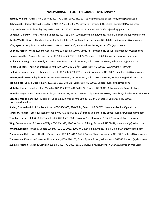#### **VALPARAISO – FOURTH GRADE - Ms. Brewer**

**Bartels, William** – Chris & Holly Bartels, 402-770-2618, 20901 NW 22<sup>nd</sup> St, Valparaiso, NE 68065, hollyland6@gmail.com **Behn, Jacob** – Jeramy Behn & Gina Clark, 402-217-5044, 4382 W. Davey Rd, Raymond, NE 68428, clarkgina04@gmail.com **Day, Landon** – Dustin & Ashley Day, 402-432-1117, 2525 W. Masek Dr, Raymond, NE 68428, ajewell3@gmail.com **Donahue, Delaney** – Tom & Kristine Donahue, 402-718-1444, 910 Raymond Rd, Raymond, NE 68428, kdonahue05@gmail.com **Duntz, Wyatt** – Kevin & Candace Duntz, 402-580-3036, 2425 W. Masek Rd, Raymond, NE 68428, candaceduntz@yahoo.com **Effle, Kyson** – Doug & Jessica Effle, 402-570-8934, 12960 N 1<sup>st</sup>, Raymond, NE 68428, jessicaeffle@gmail.com **Goering, Parker** – Wade & Jenna Goering, 402-310-2884, 8500 W. Davey Rd, Raymond, NE 68428, jshipman884@yahoo.com **Haake, Isabella** – Aaron & Crystal Haake, 402-802-4023, 630 Co Rd 27, Valparaiso, NE 68065, crystal.haake@gmail.com **Hall, Rylan** – Greg & Celeste Hall, 402-430-1260, 9305 W. Rock Creek Rd, Valparaiso, NE 68065, nebraskac21@yahoo.com Hedger, Michael – Karen Brightenburg, 402-429-5007, 108 E 2<sup>nd</sup> St, Valparaiso, NE 68065, FLSCA@windstream.net **Hellerich, Lauren** – Vaden & Marsha Hellerich, 402-598-3859, 422 Jensen St, Valparaiso, NE 68065, mhellerich74@yahoo.com **Jelinek, Hudson** – Bradley & Tonia Jelinek, 402-499-9500, 231 W Pine St, Valparaiso, NE 68065, toniajelinek@windstream.net **Kalin, Elliott** – Joey & Debbie Kalin, 402-560-3652, Box 145, Valparaiso, NE 68065, Debbie\_buresh@hotmail.com **Matulka, Hunter** – Ashley & Ron Matulka, 402-416-4578, 491 Co Rd 24, Ceresco, NE 68017, Ashley.matulka@rcentral.org **Matulka, Izzy** – Derek & Sheena Matulka, 402-450-6258, 197 E. D Street, Valparaiso, NE 68065, smatulka@silverhawkaviation.com **McGhee-Weeks, Kenesaw** – Mattie McGhee & Kevin Weeks, 402-580-3540, 334 E 6 th Street, Valparaiso, NE 68065, tukie.boa@gmail.com

**Soden, Elizabeth** – Eric & Cholena Soden, 402-580-1063, 726 CR 24, Ceresco, NE 68017, cholena.soden.lmt@gmail.com **Swenson, Haiden** – Scott & Susan Swenson, 402-416-4587, 516 E 6 th Street, Valparaiso, NE 68065, susan@swensonmgmt.com **Trumble, Harper** – Jeff & Molly Trumble, 402-890-0553, 3880 Oakview Blvd, Raymond, NE 68428, mtruble1@gmail.com **Wiig, Connor** – Jason & Shannon Wiig, 402-304-4923, 1900 W. Glacial Till Rdg, Raymond, NE 68428, shannonwiig@yahoo.com **Wright, Kennedy** – Bryan & Debbie Wright, 402-310-0023, 2900 W. Davey Rd, Raymond, NE 68428, bdkwright10@gmail.com **Zimmerman, Cole** – Jon & Heather Zimmerman, 402-499-6167, 649 S. Spruce Street, Valparaiso, NE 68065, khhood@yahoo.com **Zimmerman, Kora** - Jon & Heather Zimmerman, 402-499-6167, 649 S. Spruce Street, Valparaiso, NE 68065, khhood@yahoo.com **Zugmier, Preston** – Jason & Cathleen Zugmier, 402-770-3082, 3650 Oakview Blvd, Raymond, NE 68428, n4mickey@aol.com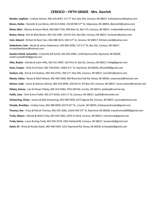#### **CERESCO – FIFTH GRADE - Mrs. Genrich**

**Beckler, Leighton -** Lindsay Homan, 402-416-6057, 117 5 th Ave, Box 354, Ceresco, NE 68017, lindsayhoman@yahoo.com **Benes, Hailee -** Danielle & Lee Benes, 402-613-0363, 22210 NW 27 th St, Valparaiso, NE 68065, dbenes54@yahoo.com **Blank, Maci -** Monica & Aaron Blank, 402-660-7120, 409 Main St, Box 173, Ceresco, NE 68017, moblank@rcentral.org **Bower, Henry -** Keri & Matt Bower, 402-310-1487, 520 W. Elm, Box 365, Ceresco, NE 68017, ka.bower@yahoo.com **Cain, Edward -** Brittani & Ryan Cain, 626-488-3613, 504 S 4 th St, Ceresco, NE 68017, Brittani.cain8@yahoo.com

**Dukesherer, Sam -** Nicole & James Dukesherer, 402-802-0290, 713 S 3 rd St, Box 341, Ceresco, NE 68017, nicoledukesherer@hotmail.com

**Goodro-Schell, Samantha -** Crystal & Jeff Schell, 402-601-0403, 1144 Raymond Rd, Raymond, NE 68428, [schell.crystal9193@gmail.com](mailto:schell.crystal9193@gmail.com)

**Hille, Brylize -** Glenda & Justin Hille, 402-521-4097, 524 Pine St, Box 65, Ceresco, NE 68017, hillegl@gmail.com **Huck, Cooper -** Jill & Errol Huck, 402-730-0593, 15901 N 1 st St, Raymond, NE 68428, jillhuck09@gmail.com **Hudson, Lily -** Kim & Jim Hudson, 402-416-4752, 704 S 3 rd , Box 295, Ceresco, NE 68017, ksm1821@yahoo.com **Masek, Vailey -** Ravae & Mark Masek, 402-440-3360, 484 Branched Oak Rd, Davey, NE 68336, ravaemarie@hotmail.com **Nelson, Cade -** Lynne & Spencer Nelson, 402-432-9099, 228 Ash St, PO Box 315, Ceresco, NE 68017, lynne.nelson@hotmail.com **Pebley, Aviana -** Laci & Shawn Pebley, 402-314-4584, 4701 Mill Rd, Lincoln, NE 68514, [lpebley@rcentral.org](mailto:lpebley@rcentral.org) Pytlik, Lizzy - Tami & Kurt Pytlik, 402-277-6418, 216 S 1st St, Ceresco, NE 68017, tpytlik@zitomedia.net **Schwarting, Chase -** Jessica & Kyle Schwarting, 402-580-4359, 6272 Agnew Rd, Ceresco, NE 68017, jessica@otteoil.com **Temple, Brooklyn -** Lindsey Cave, 402-480-0039, 622 N 31<sup>st</sup> St., Lincoln, NE 68503, lindstaevynbrooke@gmail.com **Thomas, Rae -** Tracy & Patrick Thomas, 402-525-1065, 16255 NW 19<sup>th</sup> St, Raymond, NE 68428, tracythomas0000@gmail.com **Tvrdy, Allyson -** Wendy & Mark Tvrdy, 402-429-2965, 2076 Co Rd B, Ceresco, NE 68017, mw12tvrdy@gmail.com **Tvrdy, Henry -** Laura & Greg Tvrdy, 402-594-3379, 1952 Ashland Rd, Ceresco, NE 68017, lauratvrdy@gmail.com **Zobel, Eli -** Krista & Nicolas Zobel, 402-440-5587, 2211 Raymond Rd, Davey, NE 68336, kristazobel@gmail.com